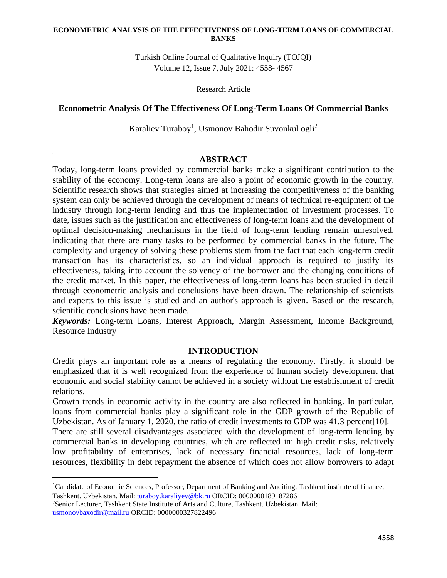Turkish Online Journal of Qualitative Inquiry (TOJQI) Volume 12, Issue 7, July 2021: 4558- 4567

Research Article

### **Econometric Analysis Of The Effectiveness Of Long-Term Loans Of Commercial Banks**

Karaliev Turaboy<sup>1</sup>, Usmonov Bahodir Suvonkul ogli<sup>2</sup>

#### **ABSTRACT**

Today, long-term loans provided by commercial banks make a significant contribution to the stability of the economy. Long-term loans are also a point of economic growth in the country. Scientific research shows that strategies aimed at increasing the competitiveness of the banking system can only be achieved through the development of means of technical re-equipment of the industry through long-term lending and thus the implementation of investment processes. To date, issues such as the justification and effectiveness of long-term loans and the development of optimal decision-making mechanisms in the field of long-term lending remain unresolved, indicating that there are many tasks to be performed by commercial banks in the future. The complexity and urgency of solving these problems stem from the fact that each long-term credit transaction has its characteristics, so an individual approach is required to justify its effectiveness, taking into account the solvency of the borrower and the changing conditions of the credit market. In this paper, the effectiveness of long-term loans has been studied in detail through econometric analysis and conclusions have been drawn. The relationship of scientists and experts to this issue is studied and an author's approach is given. Based on the research, scientific conclusions have been made.

*Keywords:* Long-term Loans, Interest Approach, Margin Assessment, Income Background, Resource Industry

### **INTRODUCTION**

Credit plays an important role as a means of regulating the economy. Firstly, it should be emphasized that it is well recognized from the experience of human society development that economic and social stability cannot be achieved in a society without the establishment of credit relations.

Growth trends in economic activity in the country are also reflected in banking. In particular, loans from commercial banks play a significant role in the GDP growth of the Republic of Uzbekistan. As of January 1, 2020, the ratio of credit investments to GDP was 41.3 percent[10].

There are still several disadvantages associated with the development of long-term lending by commercial banks in developing countries, which are reflected in: high credit risks, relatively low profitability of enterprises, lack of necessary financial resources, lack of long-term resources, flexibility in debt repayment the absence of which does not allow borrowers to adapt

<sup>1</sup>Candidate of Economic Sciences, Professor, Department of Banking and Auditing, Tashkent institute of finance, Tashkent. Uzbekistan. Mail: turaboy.karaliyev@bk.ru ORCID: 0000000189187286

<sup>2</sup>Senior Lecturer, Tashkent State Institute of Arts and Culture, Tashkent. Uzbekistan. Mail: [usmonovbaxodir@mail.ru](mailto:usmonovbaxodir@mail.ru) ORCID: 0000000327822496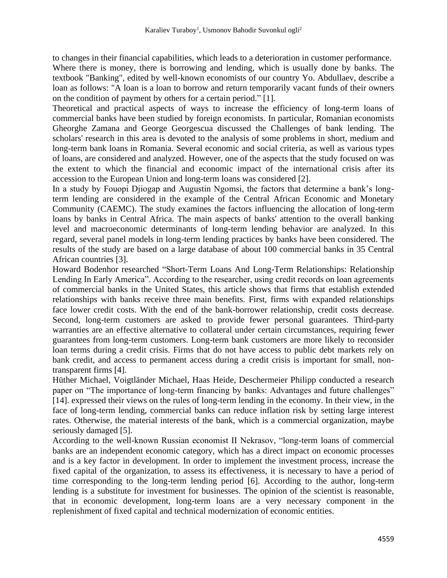to changes in their financial capabilities, which leads to a deterioration in customer performance. Where there is money, there is borrowing and lending, which is usually done by banks. The textbook "Banking", edited by well-known economists of our country Yo. Abdullaev, describe a loan as follows: "A loan is a loan to borrow and return temporarily vacant funds of their owners on the condition of payment by others for a certain period." [1].

Theoretical and practical aspects of ways to increase the efficiency of long-term loans of commercial banks have been studied by foreign economists. In particular, Romanian economists Gheorghe Zamana and George Georgescua discussed the Challenges of bank lending. The scholars' research in this area is devoted to the analysis of some problems in short, medium and long-term bank loans in Romania. Several economic and social criteria, as well as various types of loans, are considered and analyzed. However, one of the aspects that the study focused on was the extent to which the financial and economic impact of the international crisis after its accession to the European Union and long-term loans was considered [2].

In a study by Fouopi Djiogap and Augustin Ngomsi, the factors that determine a bank's longterm lending are considered in the example of the Central African Economic and Monetary Community (CAEMC). The study examines the factors influencing the allocation of long-term loans by banks in Central Africa. The main aspects of banks' attention to the overall banking level and macroeconomic determinants of long-term lending behavior are analyzed. In this regard, several panel models in long-term lending practices by banks have been considered. The results of the study are based on a large database of about 100 commercial banks in 35 Central African countries [3].

Howard Bodenhor researched "Short-Term Loans And Long-Term Relationships: Relationship Lending In Early America". According to the researcher, using credit records on loan agreements of commercial banks in the United States, this article shows that firms that establish extended relationships with banks receive three main benefits. First, firms with expanded relationships face lower credit costs. With the end of the bank-borrower relationship, credit costs decrease. Second, long-term customers are asked to provide fewer personal guarantees. Third-party warranties are an effective alternative to collateral under certain circumstances, requiring fewer guarantees from long-term customers. Long-term bank customers are more likely to reconsider loan terms during a credit crisis. Firms that do not have access to public debt markets rely on bank credit, and access to permanent access during a credit crisis is important for small, nontransparent firms [4].

Hüther Michael, Voigtländer Michael, Haas Heide, Deschermeier Philipp conducted a research paper on "The importance of long-term financing by banks: Advantages and future challenges" [14]. expressed their views on the rules of long-term lending in the economy. In their view, in the face of long-term lending, commercial banks can reduce inflation risk by setting large interest rates. Otherwise, the material interests of the bank, which is a commercial organization, maybe seriously damaged [5].

According to the well-known Russian economist II Nekrasov, "long-term loans of commercial banks are an independent economic category, which has a direct impact on economic processes and is a key factor in development. In order to implement the investment process, increase the fixed capital of the organization, to assess its effectiveness, it is necessary to have a period of time corresponding to the long-term lending period [6]. According to the author, long-term lending is a substitute for investment for businesses. The opinion of the scientist is reasonable, that in economic development, long-term loans are a very necessary component in the replenishment of fixed capital and technical modernization of economic entities.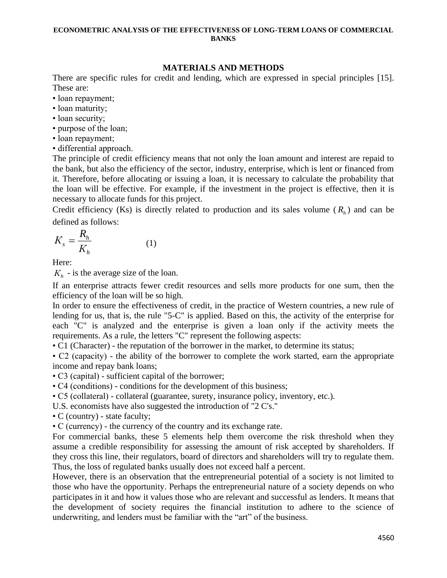### **MATERIALS AND METHODS**

There are specific rules for credit and lending, which are expressed in special principles [15]. These are:

- loan repayment;
- loan maturity;
- loan security;
- purpose of the loan;
- loan repayment;
- differential approach.

The principle of credit efficiency means that not only the loan amount and interest are repaid to the bank, but also the efficiency of the sector, industry, enterprise, which is lent or financed from it. Therefore, before allocating or issuing a loan, it is necessary to calculate the probability that the loan will be effective. For example, if the investment in the project is effective, then it is necessary to allocate funds for this project.

Credit efficiency (Ks) is directly related to production and its sales volume  $(R<sub>h</sub>)$  and can be defined as follows:

$$
K_s = \frac{R_h}{K_h} \tag{1}
$$

Here:

 $K_h$  - is the average size of the loan.

If an enterprise attracts fewer credit resources and sells more products for one sum, then the efficiency of the loan will be so high.

In order to ensure the effectiveness of credit, in the practice of Western countries, a new rule of lending for us, that is, the rule "5-C" is applied. Based on this, the activity of the enterprise for each "C" is analyzed and the enterprise is given a loan only if the activity meets the requirements. As a rule, the letters "C" represent the following aspects:

• C1 (Character) - the reputation of the borrower in the market, to determine its status;

• C2 (capacity) - the ability of the borrower to complete the work started, earn the appropriate income and repay bank loans;

• C3 (capital) - sufficient capital of the borrower;

• C4 (conditions) - conditions for the development of this business;

• C5 (collateral) - collateral (guarantee, surety, insurance policy, inventory, etc.).

U.S. economists have also suggested the introduction of "2 C's."

• C (country) - state faculty;

• C (currency) - the currency of the country and its exchange rate.

For commercial banks, these 5 elements help them overcome the risk threshold when they assume a credible responsibility for assessing the amount of risk accepted by shareholders. If they cross this line, their regulators, board of directors and shareholders will try to regulate them. Thus, the loss of regulated banks usually does not exceed half a percent.

However, there is an observation that the entrepreneurial potential of a society is not limited to those who have the opportunity. Perhaps the entrepreneurial nature of a society depends on who participates in it and how it values those who are relevant and successful as lenders. It means that the development of society requires the financial institution to adhere to the science of underwriting, and lenders must be familiar with the "art" of the business.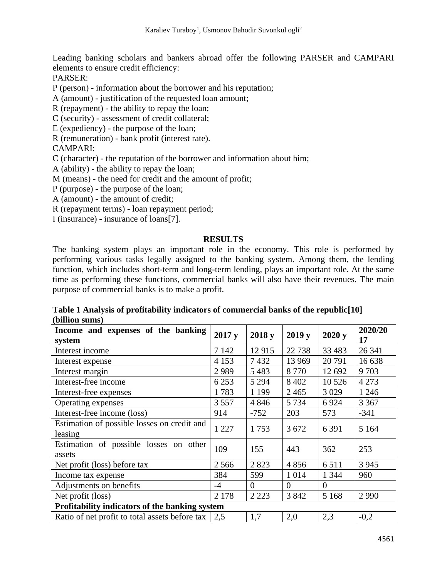Leading banking scholars and bankers abroad offer the following PARSER and CAMPARI elements to ensure credit efficiency:

PARSER:

P (person) - information about the borrower and his reputation;

A (amount) - justification of the requested loan amount;

- R (repayment) the ability to repay the loan;
- C (security) assessment of credit collateral;
- E (expediency) the purpose of the loan;
- R (remuneration) bank profit (interest rate).

## CAMPARI:

- C (character) the reputation of the borrower and information about him;
- A (ability) the ability to repay the loan;
- M (means) the need for credit and the amount of profit;
- P (purpose) the purpose of the loan;
- A (amount) the amount of credit;
- R (repayment terms) loan repayment period;

I (insurance) - insurance of loans[7].

### **RESULTS**

The banking system plays an important role in the economy. This role is performed by performing various tasks legally assigned to the banking system. Among them, the lending function, which includes short-term and long-term lending, plays an important role. At the same time as performing these functions, commercial banks will also have their revenues. The main purpose of commercial banks is to make a profit.

**Table 1 Analysis of profitability indicators of commercial banks of the republic[10] (billion sums)**

| Income and expenses of the banking<br>system           | 2017y   | 2018 y   | 2019y    | 2020y    | 2020/20<br>17 |  |
|--------------------------------------------------------|---------|----------|----------|----------|---------------|--|
| Interest income                                        | 7 1 4 2 | 12915    | 22 738   | 33 4 83  | 26 341        |  |
| Interest expense                                       | 4 1 5 3 | 7432     | 13 969   | 20791    | 16 638        |  |
| Interest margin                                        | 2989    | 5483     | 8770     | 12 692   | 9703          |  |
| Interest-free income                                   | 6 2 5 3 | 5 2 9 4  | 8 4 0 2  | 10 5 26  | 4 2 7 3       |  |
| Interest-free expenses                                 | 1783    | 1 1 9 9  | 2465     | 3 0 29   | 1 2 4 6       |  |
| Operating expenses                                     | 3 5 5 7 | 4 8 4 6  | 5 7 3 4  | 6924     | 3 3 6 7       |  |
| Interest-free income (loss)                            | 914     | $-752$   | 203      | 573      | $-341$        |  |
| Estimation of possible losses on credit and<br>leasing | 1 2 2 7 | 1753     | 3 6 7 2  | 6 3 9 1  | 5 1 6 4       |  |
| Estimation of possible losses on other<br>assets       | 109     | 155      | 443      | 362      | 253           |  |
| Net profit (loss) before tax                           | 2 5 6 6 | 2823     | 4856     | 6511     | 3 9 4 5       |  |
| Income tax expense                                     | 384     | 599      | 1 0 1 4  | 1 3 4 4  | 960           |  |
| Adjustments on benefits                                | $-4$    | $\Omega$ | $\Omega$ | $\Omega$ |               |  |
| Net profit (loss)                                      | 2 1 7 8 | 2 2 2 3  | 3842     | 5 1 6 8  | 2 9 9 0       |  |
| Profitability indicators of the banking system         |         |          |          |          |               |  |
| Ratio of net profit to total assets before tax         | 2,5     | 1,7      | 2,0      | 2,3      | $-0,2$        |  |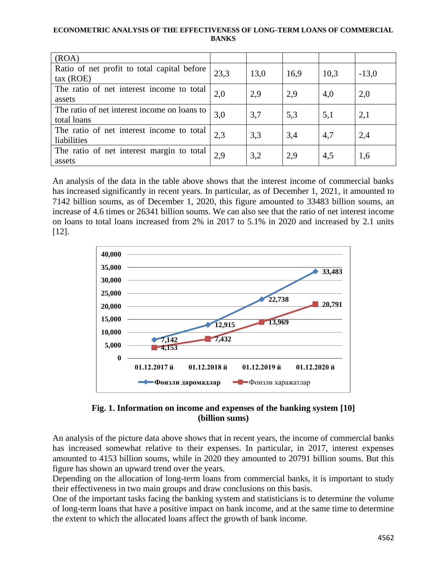| (ROA)                                                       |      |      |      |      |         |
|-------------------------------------------------------------|------|------|------|------|---------|
| Ratio of net profit to total capital before<br>tax (ROE)    | 23,3 | 13,0 | 16,9 | 10,3 | $-13,0$ |
| The ratio of net interest income to total<br>assets         | 2,0  | 2,9  | 2,9  | 4,0  | 2,0     |
| The ratio of net interest income on loans to<br>total loans | 3,0  | 3,7  | 5,3  | 5,1  | 2,1     |
| The ratio of net interest income to total<br>liabilities    | 2,3  | 3,3  | 3,4  | 4,7  | 2,4     |
| The ratio of net interest margin to total<br>assets         | 2,9  | 3,2  | 2,9  | 4,5  | 1,6     |

An analysis of the data in the table above shows that the interest income of commercial banks has increased significantly in recent years. In particular, as of December 1, 2021, it amounted to 7142 billion soums, as of December 1, 2020, this figure amounted to 33483 billion soums, an increase of 4.6 times or 26341 billion soums. We can also see that the ratio of net interest income on loans to total loans increased from 2% in 2017 to 5.1% in 2020 and increased by 2.1 units [12].



**Fig. 1. Information on income and expenses of the banking system [10] (billion sums)**

An analysis of the picture data above shows that in recent years, the income of commercial banks has increased somewhat relative to their expenses. In particular, in 2017, interest expenses amounted to 4153 billion soums, while in 2020 they amounted to 20791 billion soums. But this figure has shown an upward trend over the years.

Depending on the allocation of long-term loans from commercial banks, it is important to study their effectiveness in two main groups and draw conclusions on this basis.

One of the important tasks facing the banking system and statisticians is to determine the volume of long-term loans that have a positive impact on bank income, and at the same time to determine the extent to which the allocated loans affect the growth of bank income.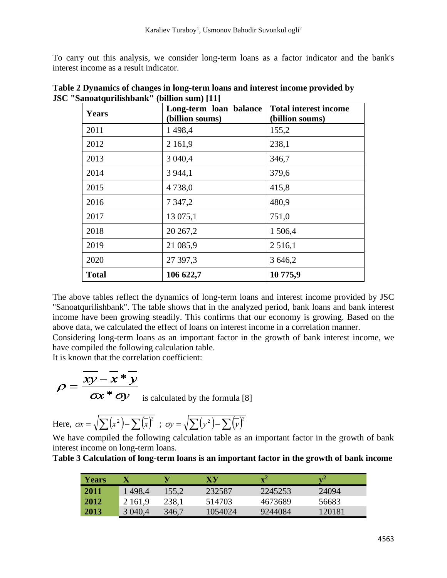To carry out this analysis, we consider long-term loans as a factor indicator and the bank's interest income as a result indicator.

| Years        | Long-term loan balance<br>(billion soums) | <b>Total interest income</b><br>(billion soums) |  |
|--------------|-------------------------------------------|-------------------------------------------------|--|
| 2011         | 1498,4                                    | 155,2                                           |  |
| 2012         | 2 1 6 1,9                                 | 238,1                                           |  |
| 2013         | 3 040,4                                   | 346,7                                           |  |
| 2014         | 3 9 4 4, 1                                | 379,6                                           |  |
| 2015         | 4738,0                                    | 415,8                                           |  |
| 2016         | 7 3 4 7, 2                                | 480,9                                           |  |
| 2017         | 13 075,1                                  | 751,0                                           |  |
| 2018         | 20 267,2                                  | 1 506,4                                         |  |
| 2019         | 21 085,9                                  | 2 5 1 6, 1                                      |  |
| 2020         | 27 397,3                                  | 3 646,2                                         |  |
| <b>Total</b> | 106 622,7                                 | 10 775,9                                        |  |

**Table 2 Dynamics of changes in long-term loans and interest income provided by JSC "Sanoatqurilishbank" (billion sum) [11]**

The above tables reflect the dynamics of long-term loans and interest income provided by JSC "Sanoatqurilishbank". The table shows that in the analyzed period, bank loans and bank interest income have been growing steadily. This confirms that our economy is growing. Based on the above data, we calculated the effect of loans on interest income in a correlation manner.

Considering long-term loans as an important factor in the growth of bank interest income, we have compiled the following calculation table.

It is known that the correlation coefficient:

$$
\rho = \frac{\overline{xy} - \overline{x} * \overline{y}}{\sigma x * \sigma y}
$$
 is calculated by the formula [8]

Here, 
$$
\varpi = \sqrt{\sum (x^2) - \sum (\overline{x})^2}
$$
;  $\varpi = \sqrt{\sum (y^2) - \sum (\overline{y})^2}$ 

We have compiled the following calculation table as an important factor in the growth of bank interest income on long-term loans.

**Table 3 Calculation of long-term loans is an important factor in the growth of bank income**

| <b>Years</b> |            |       | XY      | $\mathbf{v}^2$ | ∡77    |
|--------------|------------|-------|---------|----------------|--------|
| 2011         | 1 498,4    | 155,2 | 232587  | 2245253        | 24094  |
| 2012         | 2 1 6 1 .9 | 238,1 | 514703  | 4673689        | 56683  |
| 2013         | 3 040,4    | 346,7 | 1054024 | 9244084        | 120181 |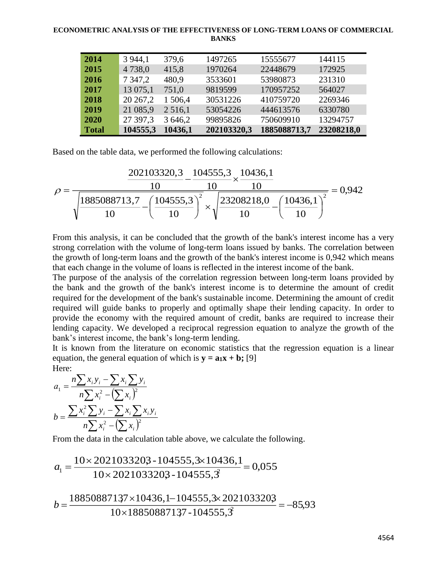| 2014         | 3 9 4 4, 1  | 379,6      | 1497265     | 15555677     | 144115     |
|--------------|-------------|------------|-------------|--------------|------------|
| 2015         | 4738,0      | 415,8      | 1970264     | 22448679     | 172925     |
| 2016         | 7 3 4 7 , 2 | 480.9      | 3533601     | 53980873     | 231310     |
| 2017         | 13 075,1    | 751,0      | 9819599     | 170957252    | 564027     |
| 2018         | 20 267,2    | 1506,4     | 30531226    | 410759720    | 2269346    |
| 2019         | 21 085,9    | 2 5 1 6, 1 | 53054226    | 444613576    | 6330780    |
| 2020         | 27 397,3    | 3 646,2    | 99895826    | 750609910    | 13294757   |
| <b>Total</b> | 104555,3    | 10436,1    | 202103320,3 | 1885088713,7 | 23208218,0 |

Based on the table data, we performed the following calculations:

$$
\rho = \frac{\frac{202103320,3}{10} - \frac{104555,3}{10} \times \frac{10436,1}{10}}{\sqrt{\frac{1885088713,7}{10} - \left(\frac{104555,3}{10}\right)^2} \times \sqrt{\frac{23208218,0}{10} - \left(\frac{10436,1}{10}\right)^2}} = 0,942
$$

From this analysis, it can be concluded that the growth of the bank's interest income has a very strong correlation with the volume of long-term loans issued by banks. The correlation between the growth of long-term loans and the growth of the bank's interest income is 0,942 which means that each change in the volume of loans is reflected in the interest income of the bank.

The purpose of the analysis of the correlation regression between long-term loans provided by the bank and the growth of the bank's interest income is to determine the amount of credit required for the development of the bank's sustainable income. Determining the amount of credit required will guide banks to properly and optimally shape their lending capacity. In order to provide the economy with the required amount of credit, banks are required to increase their lending capacity. We developed a reciprocal regression equation to analyze the growth of the bank's interest income, the bank's long-term lending.

It is known from the literature on economic statistics that the regression equation is a linear equation, the general equation of which is  $\mathbf{v} = \mathbf{a}_1 \mathbf{x} + \mathbf{b}$ ; [9] Here:

$$
a_{1} = \frac{n\sum x_{i}y_{i} - \sum x_{i}\sum y_{i}}{n\sum x_{i}^{2} - (\sum x_{i})^{2}}
$$

$$
b = \frac{\sum x_{i}^{2}\sum y_{i} - \sum x_{i}\sum x_{i}y_{i}}{n\sum x_{i}^{2} - (\sum x_{i})^{2}}
$$

From the data in the calculation table above, we calculate the following.

$$
a_1 = \frac{10 \times 2021033203 - 1045553 \times 10436, 1}{10 \times 2021033203 - 1045553} = 0,055
$$

$$
b = \frac{18850887137 \times 10436, 1 - 104555, 3 \times 2021033203}{10 \times 18850887137 - 104555, 3} = -85,93
$$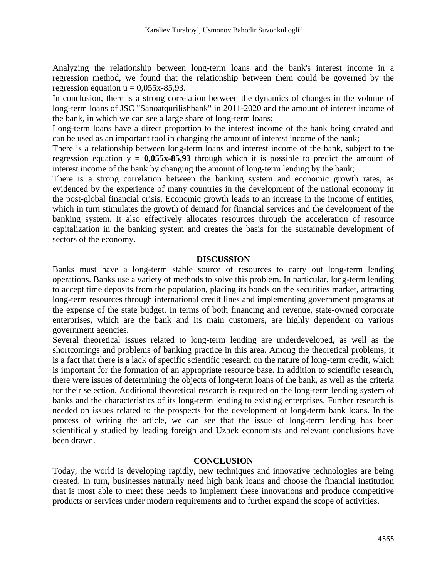Analyzing the relationship between long-term loans and the bank's interest income in a regression method, we found that the relationship between them could be governed by the regression equation  $u = 0.055x-85.93$ .

In conclusion, there is a strong correlation between the dynamics of changes in the volume of long-term loans of JSC "Sanoatqurilishbank" in 2011-2020 and the amount of interest income of the bank, in which we can see a large share of long-term loans;

Long-term loans have a direct proportion to the interest income of the bank being created and can be used as an important tool in changing the amount of interest income of the bank;

There is a relationship between long-term loans and interest income of the bank, subject to the regression equation  $y = 0.055x-85.93$  through which it is possible to predict the amount of interest income of the bank by changing the amount of long-term lending by the bank;

There is a strong correlation between the banking system and economic growth rates, as evidenced by the experience of many countries in the development of the national economy in the post-global financial crisis. Economic growth leads to an increase in the income of entities, which in turn stimulates the growth of demand for financial services and the development of the banking system. It also effectively allocates resources through the acceleration of resource capitalization in the banking system and creates the basis for the sustainable development of sectors of the economy.

## **DISCUSSION**

Banks must have a long-term stable source of resources to carry out long-term lending operations. Banks use a variety of methods to solve this problem. In particular, long-term lending to accept time deposits from the population, placing its bonds on the securities market, attracting long-term resources through international credit lines and implementing government programs at the expense of the state budget. In terms of both financing and revenue, state-owned corporate enterprises, which are the bank and its main customers, are highly dependent on various government agencies.

Several theoretical issues related to long-term lending are underdeveloped, as well as the shortcomings and problems of banking practice in this area. Among the theoretical problems, it is a fact that there is a lack of specific scientific research on the nature of long-term credit, which is important for the formation of an appropriate resource base. In addition to scientific research, there were issues of determining the objects of long-term loans of the bank, as well as the criteria for their selection. Additional theoretical research is required on the long-term lending system of banks and the characteristics of its long-term lending to existing enterprises. Further research is needed on issues related to the prospects for the development of long-term bank loans. In the process of writing the article, we can see that the issue of long-term lending has been scientifically studied by leading foreign and Uzbek economists and relevant conclusions have been drawn.

### **CONCLUSION**

Today, the world is developing rapidly, new techniques and innovative technologies are being created. In turn, businesses naturally need high bank loans and choose the financial institution that is most able to meet these needs to implement these innovations and produce competitive products or services under modern requirements and to further expand the scope of activities.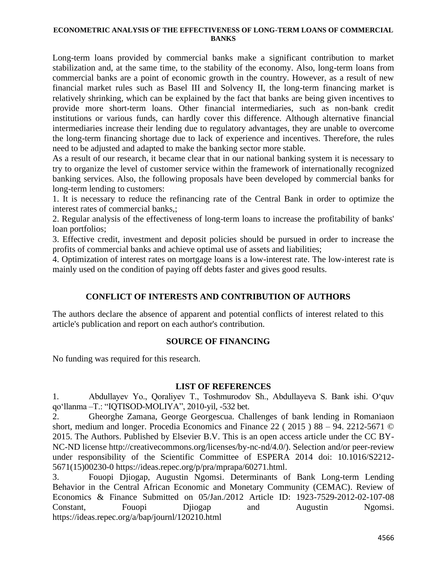Long-term loans provided by commercial banks make a significant contribution to market stabilization and, at the same time, to the stability of the economy. Also, long-term loans from commercial banks are a point of economic growth in the country. However, as a result of new financial market rules such as Basel III and Solvency II, the long-term financing market is relatively shrinking, which can be explained by the fact that banks are being given incentives to provide more short-term loans. Other financial intermediaries, such as non-bank credit institutions or various funds, can hardly cover this difference. Although alternative financial intermediaries increase their lending due to regulatory advantages, they are unable to overcome the long-term financing shortage due to lack of experience and incentives. Therefore, the rules need to be adjusted and adapted to make the banking sector more stable.

As a result of our research, it became clear that in our national banking system it is necessary to try to organize the level of customer service within the framework of internationally recognized banking services. Also, the following proposals have been developed by commercial banks for long-term lending to customers:

1. It is necessary to reduce the refinancing rate of the Central Bank in order to optimize the interest rates of commercial banks,;

2. Regular analysis of the effectiveness of long-term loans to increase the profitability of banks' loan portfolios;

3. Effective credit, investment and deposit policies should be pursued in order to increase the profits of commercial banks and achieve optimal use of assets and liabilities;

4. Optimization of interest rates on mortgage loans is a low-interest rate. The low-interest rate is mainly used on the condition of paying off debts faster and gives good results.

# **CONFLICT OF INTERESTS AND CONTRIBUTION OF AUTHORS**

The authors declare the absence of apparent and potential conflicts of interest related to this article's publication and report on each author's contribution.

### **SOURCE OF FINANCING**

No funding was required for this research.

### **LIST OF REFERENCES**

1. Abdullayev Yo., Qoraliyev T., Toshmurodov Sh., Abdullayeva S. Bank ishi. O'quv qo'llanma –T.: "IQTISOD-MOLIYA", 2010-yil, -532 bet.

2. Gheorghe Zamana, George Georgescua. Challenges of bank lending in Romaniaon short, medium and longer. Procedia Economics and Finance 22 ( 2015 ) 88 – 94. 2212-5671 © 2015. The Authors. Published by Elsevier B.V. This is an open access article under the CC BY-NC-ND license http://creativecommons.org/licenses/by-nc-nd/4.0/). Selection and/or peer-review under responsibility of the Scientific Committee of ESPERA 2014 doi: 10.1016/S2212- 5671(15)00230-0 https://ideas.repec.org/p/pra/mprapa/60271.html.

3. Fouopi Djiogap, Augustin Ngomsi. Determinants of Bank Long-term Lending Behavior in the Central African Economic and Monetary Community (CEMAC). Review of Economics & Finance Submitted on 05/Jan./2012 Article ID: 1923-7529-2012-02-107-08 Constant, Fouopi Djiogap and Augustin Ngomsi. https://ideas.repec.org/a/bap/journl/120210.html